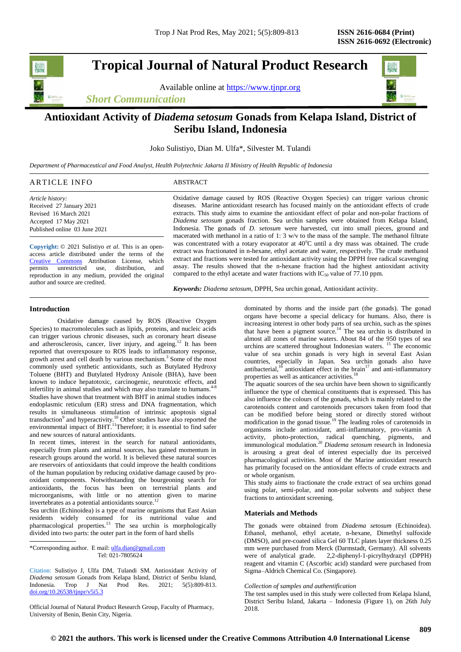**Tropical Journal of Natural Product Research**

Available online at [https://www.tjnpr.org](https://www.tjnpr.org/)

*Short Communication*



Joko Sulistiyo, Dian M. Ulfa\*, Silvester M. Tulandi

*Department of Pharmaceutical and Food Analyst, Health Polytechnic Jakarta II Ministry of Health Republic of Indonesia*

# ARTICLE INFO ABSTRACT

*Article history:* Received 27 January 2021 Revised 16 March 2021 Accepted 17 May 2021 Published online 03 June 2021

**Copyright:** © 2021 Sulistiyo *et al*. This is an openaccess article distributed under the terms of the [Creative Commons](https://creativecommons.org/licenses/by/4.0/) Attribution License, which permits unrestricted use, distribution, and reproduction in any medium, provided the original author and source are credited.

Oxidative damage caused by ROS (Reactive Oxygen Species) can trigger various chronic diseases. Marine antioxidant research has focused mainly on the antioxidant effects of crude extracts. This study aims to examine the antioxidant effect of polar and non-polar fractions of *Diadema setosum* gonads fraction. Sea urchin samples were obtained from Kelapa Island, Indonesia. The gonads of *D. setosum* were harvested, cut into small pieces, ground and macerated with methanol in a ratio of 1:  $3 w/v$  to the mass of the sample. The methanol filtrate was concentrated with a rotary evaporator at  $40^{\circ}$ C until a dry mass was obtained. The crude extract was fractionated in n-hexane, ethyl acetate and water, respectively. The crude methanol extract and fractions were tested for antioxidant activity using the DPPH free radical scavenging assay. The results showed that the n-hexane fraction had the highest antioxidant activity compared to the ethyl acetate and water fractions with  $IC_{50}$  value of 77.10 ppm.

*Keywords: Diadema setosum*, DPPH, Sea urchin gonad, Antioxidant activity.

# **Introduction**

Oxidative damage caused by ROS (Reactive Oxygen Species) to macromolecules such as lipids, proteins, and nucleic acids can trigger various chronic diseases, such as coronary heart disease and atherosclerosis, cancer, liver injury, and ageing.<sup>12</sup> It has been reported that overexposure to ROS leads to inflammatory response, growth arrest and cell death by various mechanism.<sup>3</sup> Some of the most commonly used synthetic antioxidants, such as Butylated Hydroxy Toluene (BHT) and Butylated Hydroxy Anisole (BHA), have been known to induce hepatotoxic, carcinogenic, neurotoxic effects, and infertility in animal studies and which may also translate to humans. $4-8$ Studies have shown that treatment with BHT in animal studies induces endoplasmic reticulum (ER) stress and DNA fragmentation, which results in simultaneous stimulation of intrinsic apoptosis signal transduction<sup>9</sup> and hyperactivity.<sup>10</sup> Other studies have also reported the environmental impact of BHT.<sup>11</sup>Therefore; it is essential to find safer and new sources of natural antioxidants.

In recent times, interest in the search for natural antioxidants, especially from plants and animal sources, has gained momentum in research groups around the world. It is believed these natural sources are reservoirs of antioxidants that could improve the health conditions of the human population by reducing oxidative damage caused by prooxidant components. Notwithstanding the bourgeoning search for antioxidants, the focus has been on terrestrial plants and microorganisms, with little or no attention given to marine invertebrates as a potential antioxidants source.<sup>12</sup>

Sea urchin (Echinoidea) is a type of marine organisms that East Asian residents widely consumed for its nutritional value and pharmacological properties.<sup>13</sup> The sea urchin is morphologically divided into two parts: the outer part in the form of hard shells

\*Corresponding author. E mail[: ulfa.dian@gmail.com](mailto:ulfa.dian@gmail.com) Tel: 021-7805624

Citation: Sulistiyo J, Ulfa DM, Tulandi SM. Antioxidant Activity of *Diadema setosum* Gonads from Kelapa Island, District of Seribu Island, Indonesia*.* Trop J Nat Prod Res. 2021; 5(5):809-813. [doi.org/10.26538/tjnpr/v5i5.3](http://www.doi.org/10.26538/tjnpr/v1i4.5)

Official Journal of Natural Product Research Group, Faculty of Pharmacy, University of Benin, Benin City, Nigeria.

dominated by thorns and the inside part (the gonads). The gonad organs have become a special delicacy for humans. Also, there is increasing interest in other body parts of sea urchin, such as the spines that have been a pigment source.<sup>14</sup> The sea urchin is distributed in almost all zones of marine waters. About 84 of the 950 types of sea urchins are scattered throughout Indonesian waters. <sup>15</sup> The economic value of sea urchin gonads is very high in several East Asian countries, especially in Japan. Sea urchin gonads also have antibacterial,<sup>16</sup> antioxidant effect in the brain<sup>17</sup> and anti-inflammatory properties as well as anticancer activities.<sup>18</sup>

The aquatic sources of the sea urchin have been shown to significantly influence the type of chemical constituents that is expressed. This has also influence the colours of the gonads, which is mainly related to the carotenoids content and carotenoids precursors taken from food that can be modified before being stored or directly stored without modification in the gonad tissue.<sup>19</sup> The leading roles of carotenoids in organisms include antioxidant, anti-inflammatory, pro-vitamin A activity, photo-protection, radical quenching, pigments, and immunological modulation.<sup>20</sup> *Diadema setosum* research in Indonesia is arousing a great deal of interest especially due its perceived pharmacological activities. Most of the Marine antioxidant research has primarily focused on the antioxidant effects of crude extracts and or whole organism.

This study aims to fractionate the crude extract of sea urchins gonad using polar, semi-polar, and non-polar solvents and subject these fractions to antioxidant screening.

# **Materials and Methods**

The gonads were obtained from *Diadema setosum* (Echinoidea). Ethanol, methanol, ethyl acetate, n-hexane, Dimethyl sulfoxide (DMSO), and pre-coated silica Gel 60 TLC plates layer thickness 0.25 mm were purchased from Merck (Darmstadt, Germany). All solvents were of analytical grade. 2,2-diphenyl-1-picrylhydrazyl (DPPH) reagent and vitamin C (Ascorbic acid) standard were purchased from Sigma–Aldrich Chemical Co. (Singapore).

*Collection of samples and authentification*

The test samples used in this study were collected from Kelapa Island, District Seribu Island, Jakarta – Indonesia (Figure 1), on 26th July 2018.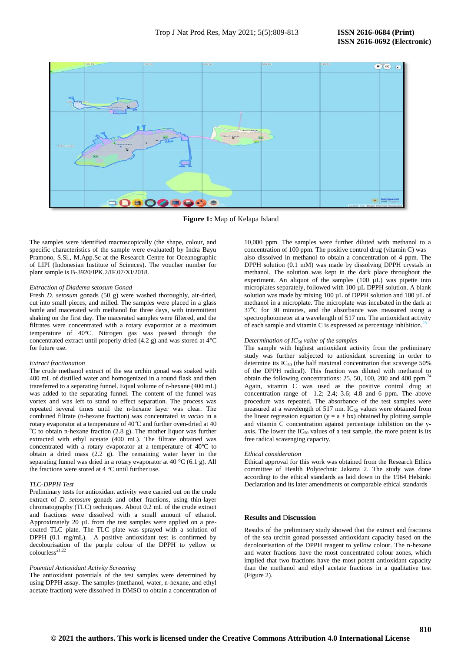

**Figure 1:** Map of Kelapa Island

The samples were identified macroscopically (the shape, colour, and specific characteristics of the sample were evaluated) by Indra Bayu Pramono, S.Si., M.App.Sc at the Research Centre for Oceanographic of LIPI (Indonesian Institute of Sciences). The voucher number for plant sample is B-3920/IPK.2/IF.07/XI/2018.

# *Extraction of Diadema setosum Gonad*

Fresh *D. setosum* gonads (50 g) were washed thoroughly, air-dried, cut into small pieces, and milled. The samples were placed in a glass bottle and macerated with methanol for three days, with intermittent shaking on the first day. The macerated samples were filtered, and the filtrates were concentrated with a rotary evaporator at a maximum temperature of 40ºC. Nitrogen gas was passed through the concentrated extract until properly dried (4.2 g) and was stored at 4°C for future use.

## *Extract fractionation*

The crude methanol extract of the sea urchin gonad was soaked with 400 mL of distilled water and homogenized in a round flask and then transferred to a separating funnel. Equal volume of n-hexane (400 mL) was added to the separating funnel. The content of the funnel was vortex and was left to stand to effect separation. The process was repeated several times until the n-hexane layer was clear. The combined filtrate (n-hexane fraction) was concentrated *in vacuo* in a rotary evaporator at a temperature of  $40^{\circ}$ C and further oven-dried at 40  $^{\circ}$ C to obtain n-hexane fraction (2.8 g). The mother liquor was further extracted with ethyl acetate (400 mL). The filtrate obtained was concentrated with a rotary evaporator at a temperature of 40ºC to obtain a dried mass (2.2 g). The remaining water layer in the separating funnel was dried in a rotary evaporator at 40 °C (6.1 g). All the fractions were stored at 4 °C until further use.

# *TLC-DPPH Test*

Preliminary tests for antioxidant activity were carried out on the crude extract of *D. setosum* gonads and other fractions, using thin-layer chromatography (TLC) techniques. About 0.2 mL of the crude extract and fractions were dissolved with a small amount of ethanol. Approximately 20 uL from the test samples were applied on a precoated TLC plate. The TLC plate was sprayed with a solution of DPPH (0.1 mg/mL). A positive antioxidant test is confirmed by decolourisation of the purple colour of the DPPH to yellow or  $colourless<sup>21,22</sup>$ 

#### *Potential Antioxidant Activity Screening*

The antioxidant potentials of the test samples were determined by using DPPH assay. The samples (methanol, water, n-hexane, and ethyl acetate fraction) were dissolved in DMSO to obtain a concentration of 10,000 ppm. The samples were further diluted with methanol to a concentration of 100 ppm. The positive control drug (vitamin C) was also dissolved in methanol to obtain a concentration of 4 ppm. The DPPH solution (0.1 mM) was made by dissolving DPPH crystals in methanol. The solution was kept in the dark place throughout the experiment. An aliquot of the samples (100 µL) was pipette into microplates separately, followed with 100 µL DPPH solution. A blank solution was made by mixing 100 µL of DPPH solution and 100 µL of methanol in a microplate. The microplate was incubated in the dark at  $37^{\circ}$ C for 30 minutes, and the absorbance was measured using a spectrophotometer at a wavelength of 517 nm. The antioxidant activity of each sample and vitamin C is expressed as percentage inhibition.<sup>2</sup>

### *Determination of IC<sup>50</sup> value of the samples*

The sample with highest antioxidant activity from the preliminary study was further subjected to antioxidant screening in order to determine its  $IC_{50}$  (the half maximal concentration that scavenge 50% of the DPPH radical). This fraction was diluted with methanol to obtain the following concentrations: 25, 50, 100, 200 and 400 ppm.<sup>2</sup> Again, vitamin C was used as the positive control drug at concentration range of 1.2; 2.4; 3.6; 4.8 and 6 ppm. The above procedure was repeated. The absorbance of the test samples were measured at a wavelength of 517 nm.  $IC_{50}$  values were obtained from the linear regression equation ( $y = a + bx$ ) obtained by plotting sample and vitamin C concentration against percentage inhibition on the yaxis. The lower the  $IC_{50}$  values of a test sample, the more potent is its free radical scavenging capacity.

#### *Ethical consideration*

Ethical approval for this work was obtained from the Research Ethics committee of Health Polytechnic Jakarta 2. The study was done according to the ethical standards as laid down in the 1964 Helsinki Declaration and its later amendments or comparable ethical standards

# **Results and** D**iscussion**

Results of the preliminary study showed that the extract and fractions of the sea urchin gonad possessed antioxidant capacity based on the decolourisation of the DPPH reagent to yellow colour. The n-hexane and water fractions have the most concentrated colour zones, which implied that two fractions have the most potent antioxidant capacity than the methanol and ethyl acetate fractions in a qualitative test (Figure 2).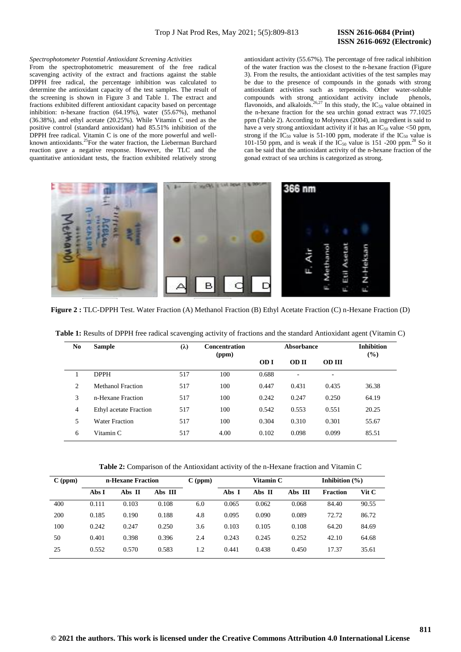# **ISSN 2616-0692 (Electronic)**

### *Spectrophotometer Potential Antioxidant Screening Activities*

From the spectrophotometric measurement of the free radical scavenging activity of the extract and fractions against the stable DPPH free radical, the percentage inhibition was calculated to determine the antioxidant capacity of the test samples. The result of the screening is shown in Figure 3 and Table 1. The extract and fractions exhibited different antioxidant capacity based on percentage inhibition: n-hexane fraction (64.19%), water (55.67%), methanol (36.38%), and ethyl acetate (20.25%). While Vitamin C used as the positive control (standard antioxidant) had 85.51% inhibition of the DPPH free radical. Vitamin C is one of the more powerful and wellknown antioxidants.<sup>25</sup>For the water fraction, the Lieberman Burchard reaction gave a negative response. However, the TLC and the quantitative antioxidant tests, the fraction exhibited relatively strong

antioxidant activity (55.67%). The percentage of free radical inhibition of the water fraction was the closest to the n-hexane fraction (Figure 3). From the results, the antioxidant activities of the test samples may be due to the presence of compounds in the gonads with strong antioxidant activities such as terpenoids. Other water-soluble compounds with strong antioxidant activity include phenols, flavonoids, and alkaloids.<sup>26,27</sup> In this study, the  $IC_{50}$  value obtained in the n-hexane fraction for the sea urchin gonad extract was 77.1025 ppm (Table 2). According to Molyneux (2004), an ingredient is said to have a very strong antioxidant activity if it has an  $IC_{50}$  value <50 ppm, strong if the  $IC_{50}$  value is 51-100 ppm, moderate if the  $IC_{50}$  value is 101-150 ppm, and is weak if the  $IC_{50}$  value is 151 -200 ppm.<sup>28</sup> So it can be said that the antioxidant activity of the n-hexane fraction of the gonad extract of sea urchins is categorized as strong.



**Figure 2 :** TLC-DPPH Test. Water Fraction (A) Methanol Fraction (B) Ethyl Acetate Fraction (C) n-Hexane Fraction (D)

| No.            | <b>Sample</b>          | $(\lambda)$<br><b>Concentration</b><br>(ppm) |      |             | <b>Inhibition</b><br>(%) |               |       |
|----------------|------------------------|----------------------------------------------|------|-------------|--------------------------|---------------|-------|
|                |                        |                                              |      | <b>OD</b> I | <b>OD</b> II             | <b>OD III</b> |       |
|                | <b>DPPH</b>            | 517                                          | 100  | 0.688       | ٠                        | ٠             |       |
| 2              | Methanol Fraction      | 517                                          | 100  | 0.447       | 0.431                    | 0.435         | 36.38 |
| 3              | n-Hexane Fraction      | 517                                          | 100  | 0.242       | 0.247                    | 0.250         | 64.19 |
| $\overline{4}$ | Ethyl acetate Fraction | 517                                          | 100  | 0.542       | 0.553                    | 0.551         | 20.25 |
| 5              | Water Fraction         | 517                                          | 100  | 0.304       | 0.310                    | 0.301         | 55.67 |
| 6              | Vitamin C              | 517                                          | 4.00 | 0.102       | 0.098                    | 0.099         | 85.51 |

**Table 1:** Results of DPPH free radical scavenging activity of fractions and the standard Antioxidant agent (Vitamin C)

**Table 2:** Comparison of the Antioxidant activity of the n-Hexane fraction and Vitamin C

| $C$ (ppm) | n-Hexane Fraction |        |         | $C$ (ppm) | Vitamin C |        |         | Inhibition $(\% )$ |       |
|-----------|-------------------|--------|---------|-----------|-----------|--------|---------|--------------------|-------|
|           | Abs I             | Abs II | Abs III |           | Abs I     | Abs II | Abs III | <b>Fraction</b>    | Vit C |
| 400       | 0.111             | 0.103  | 0.108   | 6.0       | 0.065     | 0.062  | 0.068   | 84.40              | 90.55 |
| 200       | 0.185             | 0.190  | 0.188   | 4.8       | 0.095     | 0.090  | 0.089   | 72.72              | 86.72 |
| 100       | 0.242             | 0.247  | 0.250   | 3.6       | 0.103     | 0.105  | 0.108   | 64.20              | 84.69 |
| 50        | 0.401             | 0.398  | 0.396   | 2.4       | 0.243     | 0.245  | 0.252   | 42.10              | 64.68 |
| 25        | 0.552             | 0.570  | 0.583   | 1.2       | 0.441     | 0.438  | 0.450   | 17.37              | 35.61 |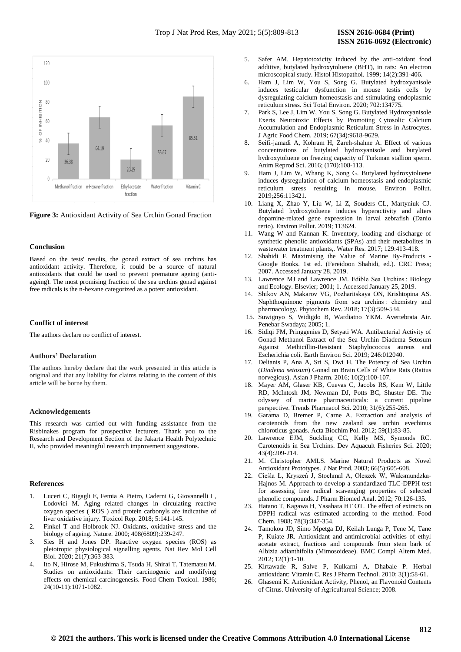

**Figure 3:** Antioxidant Activity of Sea Urchin Gonad Fraction

## **Conclusion**

Based on the tests' results, the gonad extract of sea urchins has antioxidant activity. Therefore, it could be a source of natural antioxidants that could be used to prevent premature ageing (antiageing). The most promising fraction of the sea urchins gonad against free radicals is the n-hexane categorized as a potent antioxidant.

# **Conflict of interest**

The authors declare no conflict of interest.

# **Authors' Declaration**

The authors hereby declare that the work presented in this article is original and that any liability for claims relating to the content of this article will be borne by them.

# **Acknowledgements**

This research was carried out with funding assistance from the Risbinakes program for prospective lecturers. Thank you to the Research and Development Section of the Jakarta Health Polytechnic II, who provided meaningful research improvement suggestions.

## **References**

- 1. Luceri C, Bigagli E, Femia A Pietro, Caderni G, Giovannelli L, Lodovici M. Aging related changes in circulating reactive oxygen species ( ROS ) and protein carbonyls are indicative of liver oxidative injury. Toxicol Rep. 2018; 5:141-145.
- 2. Finkel T and Holbrook NJ. Oxidants, oxidative stress and the biology of ageing. Nature. 2000; 408(6809):239-247.
- 3. Sies H and Jones DP. Reactive oxygen species (ROS) as pleiotropic physiological signalling agents. Nat Rev Mol Cell Biol. 2020; 21(7):363-383.
- 4. Ito N, Hirose M, Fukushima S, Tsuda H, Shirai T, Tatematsu M. Studies on antioxidants: Their carcinogenic and modifying effects on chemical carcinogenesis. Food Chem Toxicol. 1986; 24(10-11):1071-1082.
- 5. Safer AM. Hepatotoxicity induced by the anti-oxidant food additive, butylated hydroxytoluene (BHT), in rats: An electron microscopical study. Histol Histopathol. 1999; 14(2):391-406.
- 6. Ham J, Lim W, You S, Song G. Butylated hydroxyanisole induces testicular dysfunction in mouse testis cells by dysregulating calcium homeostasis and stimulating endoplasmic reticulum stress. Sci Total Environ. 2020; 702:134775.
- Park S, Lee J, Lim W, You S, Song G. Butylated Hydroxyanisole Exerts Neurotoxic Effects by Promoting Cytosolic Calcium Accumulation and Endoplasmic Reticulum Stress in Astrocytes. J Agric Food Chem. 2019; 67(34):9618-9629.
- 8. Seifi-jamadi A, Kohram H, Zareh-shahne A. Effect of various concentrations of butylated hydroxyanisole and butylated hydroxytoluene on freezing capacity of Turkman stallion sperm. Anim Reprod Sci. 2016; (170):108-113.
- 9. Ham J, Lim W, Whang K, Song G. Butylated hydroxytoluene induces dysregulation of calcium homeostasis and endoplasmic reticulum stress resulting in mouse. Environ Pollut. 2019;256:113421.
- 10. Liang X, Zhao Y, Liu W, Li Z, Souders CL, Martyniuk CJ. Butylated hydroxytoluene induces hyperactivity and alters dopamine-related gene expression in larval zebrafish (Danio rerio). Environ Pollut. 2019; 113624.
- 11. Wang W and Kannan K. Inventory, loading and discharge of synthetic phenolic antioxidants (SPAs) and their metabolites in wastewater treatment plants,. Water Res. 2017; 129:413-418.
- 12. Shahidi F. Maximising the Value of Marine By-Products Google Books. 1st ed. (Fereidoon Shahidi, ed.). CRC Press; 2007. Accessed January 28, 2019.
- 13. Lawrence MJ and Lawrence JM. Edible Sea Urchins: Biology and Ecology. Elsevier; 2001; 1. Accessed January 25, 2019.
- 14. Shikov AN, Makarov VG, Pozharitskaya ON, Krishtopina AS. Naphthoquinone pigments from sea urchins : chemistry and pharmacology. Phytochem Rev. 2018; 17(3):509-534.
- 15. Suwignyo S, Widigdo B, Wardiatno YKM. Avertebrata Air. Penebar Swadaya; 2005; 1.
- 16. Sidiqi FM, Pringgenies D, Setyati WA. Antibacterial Activity of Gonad Methanol Extract of the Sea Urchin Diadema Setosum Against Methicillin-Resistant Staphylococcus aureus and Escherichia coli. Earth Environ Sci. 2019; 246:012040.
- 17. Delianis P, Ana A, Sri S, Dwi H. The Potency of Sea Urchin (*Diadema setosum*) Gonad on Brain Cells of White Rats (Rattus norvegicus). Asian J Pharm. 2016; 10(2):100-107.
- 18. Mayer AM, Glaser KB, Cuevas C, Jacobs RS, Kem W, Little RD, McIntosh JM, Newman DJ, Potts BC, Shuster DE. The odyssey of marine pharmaceuticals: a current pipeline perspective. Trends Pharmacol Sci. 2010; 31(6):255-265.
- 19. Garama D, Bremer P, Carne A. Extraction and analysis of carotenoids from the new zealand sea urchin evechinus chloroticus gonads. Acta Biochim Pol. 2012; 59(1):83-85.
- 20. Lawrence EJM, Suckling CC, Kelly MS, Symonds RC. Carotenoids in Sea Urchins. Dev Aquacult Fisheries Sci. 2020; 43(4):209-214.
- 21. M. Christopher AMLS. Marine Natural Products as Novel Antioxidant Prototypes. *J* Nat Prod. 2003; 66(5):605-608.
- 22. Cieśla Ł, Kryszeń J, Stochmal A, Oleszek W, Waksmundzka-Hajnos M. Approach to develop a standardized TLC-DPPH test for assessing free radical scavenging properties of selected phenolic compounds. J Pharm Biomed Anal. 2012; 70:126-135.
- 23. Hatano T, Kagawa H, Yasahara HT OT. The effect of extracts on DPPH radical was estimated according to the method. Food Chem. 1988; 78(3):347-354.
- 24. Tamokou JD, Simo Mpetga DJ, Keilah Lunga P, Tene M, Tane P, Kuiate JR. Antioxidant and antimicrobial activities of ethyl acetate extract, fractions and compounds from stem bark of Albizia adianthifolia (Mimosoideae). BMC Compl Altern Med. 2012; 12(1):1-10.
- 25. Kirtawade R, Salve P, Kulkarni A, Dhabale P. Herbal antioxidant: Vitamin C. Res J Pharm Technol. 2010; 3(1):58-61.
- 26. Ghasemi K. Antioxidant Activity, Phenol, an Flavonoid Contents of Citrus. University of Agricultureal Science; 2008.